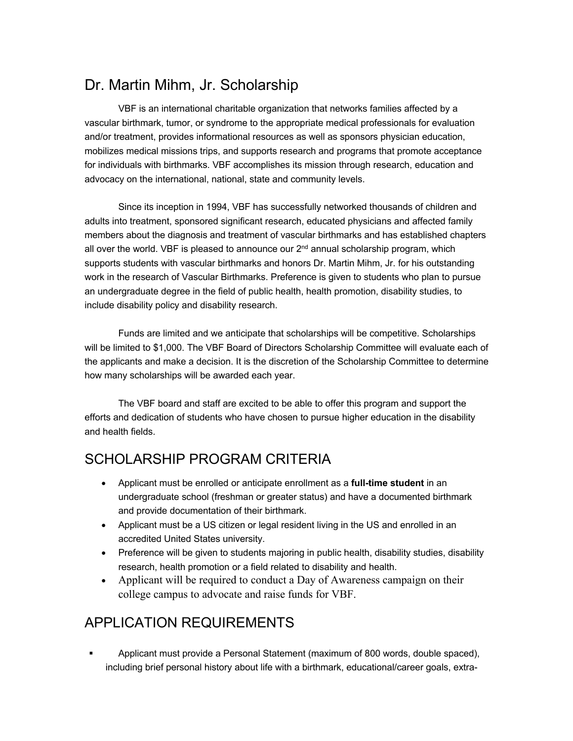## Dr. Martin Mihm, Jr. Scholarship

VBF is an international charitable organization that networks families affected by a vascular birthmark, tumor, or syndrome to the appropriate medical professionals for evaluation and/or treatment, provides informational resources as well as sponsors physician education, mobilizes medical missions trips, and supports research and programs that promote acceptance for individuals with birthmarks. VBF accomplishes its mission through research, education and advocacy on the international, national, state and community levels.

Since its inception in 1994, VBF has successfully networked thousands of children and adults into treatment, sponsored significant research, educated physicians and affected family members about the diagnosis and treatment of vascular birthmarks and has established chapters all over the world. VBF is pleased to announce our  $2<sup>nd</sup>$  annual scholarship program, which supports students with vascular birthmarks and honors Dr. Martin Mihm, Jr. for his outstanding work in the research of Vascular Birthmarks. Preference is given to students who plan to pursue an undergraduate degree in the field of public health, health promotion, disability studies, to include disability policy and disability research.

Funds are limited and we anticipate that scholarships will be competitive. Scholarships will be limited to \$1,000. The VBF Board of Directors Scholarship Committee will evaluate each of the applicants and make a decision. It is the discretion of the Scholarship Committee to determine how many scholarships will be awarded each year.

The VBF board and staff are excited to be able to offer this program and support the efforts and dedication of students who have chosen to pursue higher education in the disability and health fields.

## SCHOLARSHIP PROGRAM CRITERIA

- Applicant must be enrolled or anticipate enrollment as a **full-time student** in an undergraduate school (freshman or greater status) and have a documented birthmark and provide documentation of their birthmark.
- Applicant must be a US citizen or legal resident living in the US and enrolled in an accredited United States university.
- Preference will be given to students majoring in public health, disability studies, disability research, health promotion or a field related to disability and health.
- Applicant will be required to conduct a Day of Awareness campaign on their college campus to advocate and raise funds for VBF.

## APPLICATION REQUIREMENTS

§ Applicant must provide a Personal Statement (maximum of 800 words, double spaced), including brief personal history about life with a birthmark, educational/career goals, extra